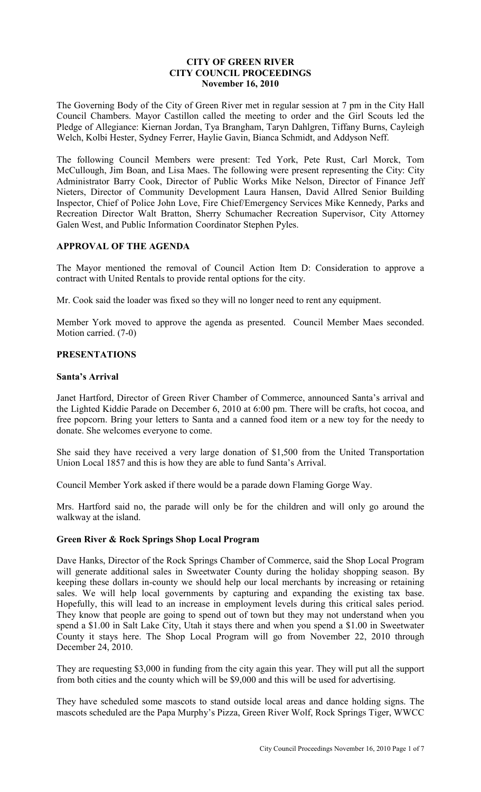## **CITY OF GREEN RIVER CITY COUNCIL PROCEEDINGS November 16, 2010**

The Governing Body of the City of Green River met in regular session at 7 pm in the City Hall Council Chambers. Mayor Castillon called the meeting to order and the Girl Scouts led the Pledge of Allegiance: Kiernan Jordan, Tya Brangham, Taryn Dahlgren, Tiffany Burns, Cayleigh Welch, Kolbi Hester, Sydney Ferrer, Haylie Gavin, Bianca Schmidt, and Addyson Neff.

The following Council Members were present: Ted York, Pete Rust, Carl Morck, Tom McCullough, Jim Boan, and Lisa Maes. The following were present representing the City: City Administrator Barry Cook, Director of Public Works Mike Nelson, Director of Finance Jeff Nieters, Director of Community Development Laura Hansen, David Allred Senior Building Inspector, Chief of Police John Love, Fire Chief/Emergency Services Mike Kennedy, Parks and Recreation Director Walt Bratton, Sherry Schumacher Recreation Supervisor, City Attorney Galen West, and Public Information Coordinator Stephen Pyles.

# **APPROVAL OF THE AGENDA**

The Mayor mentioned the removal of Council Action Item D: Consideration to approve a contract with United Rentals to provide rental options for the city.

Mr. Cook said the loader was fixed so they will no longer need to rent any equipment.

Member York moved to approve the agenda as presented. Council Member Maes seconded. Motion carried. (7-0)

# **PRESENTATIONS**

#### **Santa's Arrival**

Janet Hartford, Director of Green River Chamber of Commerce, announced Santa's arrival and the Lighted Kiddie Parade on December 6, 2010 at 6:00 pm. There will be crafts, hot cocoa, and free popcorn. Bring your letters to Santa and a canned food item or a new toy for the needy to donate. She welcomes everyone to come.

She said they have received a very large donation of \$1,500 from the United Transportation Union Local 1857 and this is how they are able to fund Santa's Arrival.

Council Member York asked if there would be a parade down Flaming Gorge Way.

Mrs. Hartford said no, the parade will only be for the children and will only go around the walkway at the island.

## **Green River & Rock Springs Shop Local Program**

Dave Hanks, Director of the Rock Springs Chamber of Commerce, said the Shop Local Program will generate additional sales in Sweetwater County during the holiday shopping season. By keeping these dollars in-county we should help our local merchants by increasing or retaining sales. We will help local governments by capturing and expanding the existing tax base. Hopefully, this will lead to an increase in employment levels during this critical sales period. They know that people are going to spend out of town but they may not understand when you spend a \$1.00 in Salt Lake City, Utah it stays there and when you spend a \$1.00 in Sweetwater County it stays here. The Shop Local Program will go from November 22, 2010 through December 24, 2010.

They are requesting \$3,000 in funding from the city again this year. They will put all the support from both cities and the county which will be \$9,000 and this will be used for advertising.

They have scheduled some mascots to stand outside local areas and dance holding signs. The mascots scheduled are the Papa Murphy's Pizza, Green River Wolf, Rock Springs Tiger, WWCC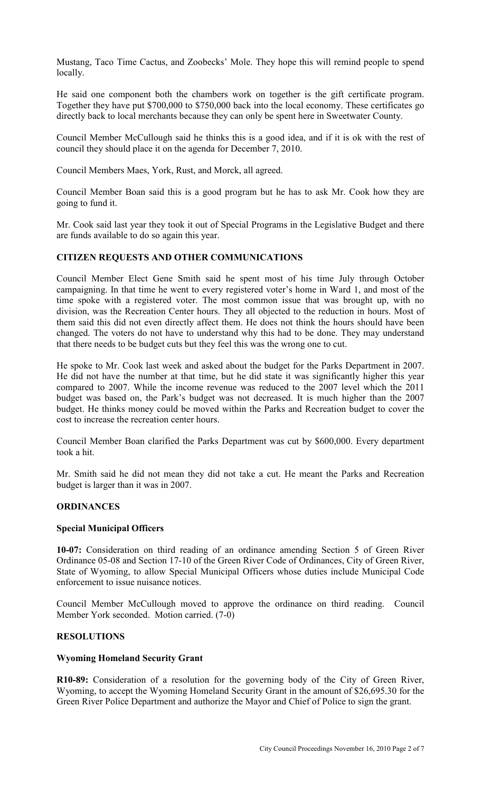Mustang, Taco Time Cactus, and Zoobecks' Mole. They hope this will remind people to spend locally.

He said one component both the chambers work on together is the gift certificate program. Together they have put \$700,000 to \$750,000 back into the local economy. These certificates go directly back to local merchants because they can only be spent here in Sweetwater County.

Council Member McCullough said he thinks this is a good idea, and if it is ok with the rest of council they should place it on the agenda for December 7, 2010.

Council Members Maes, York, Rust, and Morck, all agreed.

Council Member Boan said this is a good program but he has to ask Mr. Cook how they are going to fund it.

Mr. Cook said last year they took it out of Special Programs in the Legislative Budget and there are funds available to do so again this year.

# **CITIZEN REQUESTS AND OTHER COMMUNICATIONS**

Council Member Elect Gene Smith said he spent most of his time July through October campaigning. In that time he went to every registered voter's home in Ward 1, and most of the time spoke with a registered voter. The most common issue that was brought up, with no division, was the Recreation Center hours. They all objected to the reduction in hours. Most of them said this did not even directly affect them. He does not think the hours should have been changed. The voters do not have to understand why this had to be done. They may understand that there needs to be budget cuts but they feel this was the wrong one to cut.

He spoke to Mr. Cook last week and asked about the budget for the Parks Department in 2007. He did not have the number at that time, but he did state it was significantly higher this year compared to 2007. While the income revenue was reduced to the 2007 level which the 2011 budget was based on, the Park's budget was not decreased. It is much higher than the 2007 budget. He thinks money could be moved within the Parks and Recreation budget to cover the cost to increase the recreation center hours.

Council Member Boan clarified the Parks Department was cut by \$600,000. Every department took a hit.

Mr. Smith said he did not mean they did not take a cut. He meant the Parks and Recreation budget is larger than it was in 2007.

## **ORDINANCES**

#### **Special Municipal Officers**

**10-07:** Consideration on third reading of an ordinance amending Section 5 of Green River Ordinance 05-08 and Section 17-10 of the Green River Code of Ordinances, City of Green River, State of Wyoming, to allow Special Municipal Officers whose duties include Municipal Code enforcement to issue nuisance notices.

Council Member McCullough moved to approve the ordinance on third reading. Council Member York seconded. Motion carried. (7-0)

# **RESOLUTIONS**

#### **Wyoming Homeland Security Grant**

**R10-89:** Consideration of a resolution for the governing body of the City of Green River, Wyoming, to accept the Wyoming Homeland Security Grant in the amount of \$26,695.30 for the Green River Police Department and authorize the Mayor and Chief of Police to sign the grant.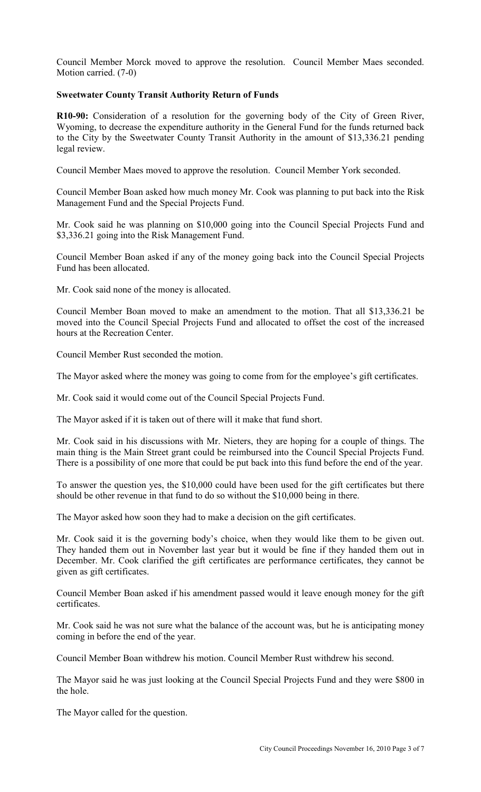Council Member Morck moved to approve the resolution. Council Member Maes seconded. Motion carried. (7-0)

## **Sweetwater County Transit Authority Return of Funds**

**R10-90:** Consideration of a resolution for the governing body of the City of Green River, Wyoming, to decrease the expenditure authority in the General Fund for the funds returned back to the City by the Sweetwater County Transit Authority in the amount of \$13,336.21 pending legal review.

Council Member Maes moved to approve the resolution. Council Member York seconded.

Council Member Boan asked how much money Mr. Cook was planning to put back into the Risk Management Fund and the Special Projects Fund.

Mr. Cook said he was planning on \$10,000 going into the Council Special Projects Fund and \$3,336.21 going into the Risk Management Fund.

Council Member Boan asked if any of the money going back into the Council Special Projects Fund has been allocated.

Mr. Cook said none of the money is allocated.

Council Member Boan moved to make an amendment to the motion. That all \$13,336.21 be moved into the Council Special Projects Fund and allocated to offset the cost of the increased hours at the Recreation Center.

Council Member Rust seconded the motion.

The Mayor asked where the money was going to come from for the employee's gift certificates.

Mr. Cook said it would come out of the Council Special Projects Fund.

The Mayor asked if it is taken out of there will it make that fund short.

Mr. Cook said in his discussions with Mr. Nieters, they are hoping for a couple of things. The main thing is the Main Street grant could be reimbursed into the Council Special Projects Fund. There is a possibility of one more that could be put back into this fund before the end of the year.

To answer the question yes, the \$10,000 could have been used for the gift certificates but there should be other revenue in that fund to do so without the \$10,000 being in there.

The Mayor asked how soon they had to make a decision on the gift certificates.

Mr. Cook said it is the governing body's choice, when they would like them to be given out. They handed them out in November last year but it would be fine if they handed them out in December. Mr. Cook clarified the gift certificates are performance certificates, they cannot be given as gift certificates.

Council Member Boan asked if his amendment passed would it leave enough money for the gift certificates.

Mr. Cook said he was not sure what the balance of the account was, but he is anticipating money coming in before the end of the year.

Council Member Boan withdrew his motion. Council Member Rust withdrew his second.

The Mayor said he was just looking at the Council Special Projects Fund and they were \$800 in the hole.

The Mayor called for the question.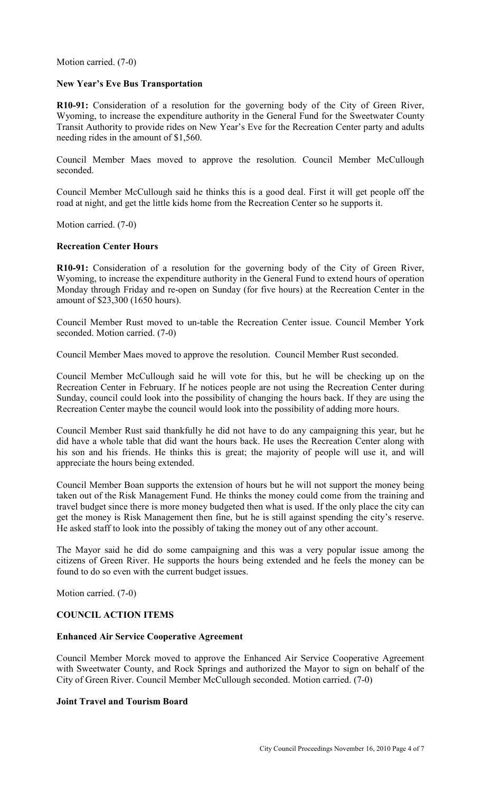Motion carried. (7-0)

#### **New Year's Eve Bus Transportation**

**R10-91:** Consideration of a resolution for the governing body of the City of Green River, Wyoming, to increase the expenditure authority in the General Fund for the Sweetwater County Transit Authority to provide rides on New Year's Eve for the Recreation Center party and adults needing rides in the amount of \$1,560.

Council Member Maes moved to approve the resolution. Council Member McCullough seconded.

Council Member McCullough said he thinks this is a good deal. First it will get people off the road at night, and get the little kids home from the Recreation Center so he supports it.

Motion carried. (7-0)

## **Recreation Center Hours**

**R10-91:** Consideration of a resolution for the governing body of the City of Green River, Wyoming, to increase the expenditure authority in the General Fund to extend hours of operation Monday through Friday and re-open on Sunday (for five hours) at the Recreation Center in the amount of \$23,300 (1650 hours).

Council Member Rust moved to un-table the Recreation Center issue. Council Member York seconded. Motion carried. (7-0)

Council Member Maes moved to approve the resolution. Council Member Rust seconded.

Council Member McCullough said he will vote for this, but he will be checking up on the Recreation Center in February. If he notices people are not using the Recreation Center during Sunday, council could look into the possibility of changing the hours back. If they are using the Recreation Center maybe the council would look into the possibility of adding more hours.

Council Member Rust said thankfully he did not have to do any campaigning this year, but he did have a whole table that did want the hours back. He uses the Recreation Center along with his son and his friends. He thinks this is great; the majority of people will use it, and will appreciate the hours being extended.

Council Member Boan supports the extension of hours but he will not support the money being taken out of the Risk Management Fund. He thinks the money could come from the training and travel budget since there is more money budgeted then what is used. If the only place the city can get the money is Risk Management then fine, but he is still against spending the city's reserve. He asked staff to look into the possibly of taking the money out of any other account.

The Mayor said he did do some campaigning and this was a very popular issue among the citizens of Green River. He supports the hours being extended and he feels the money can be found to do so even with the current budget issues.

Motion carried. (7-0)

## **COUNCIL ACTION ITEMS**

#### **Enhanced Air Service Cooperative Agreement**

Council Member Morck moved to approve the Enhanced Air Service Cooperative Agreement with Sweetwater County, and Rock Springs and authorized the Mayor to sign on behalf of the City of Green River. Council Member McCullough seconded. Motion carried. (7-0)

## **Joint Travel and Tourism Board**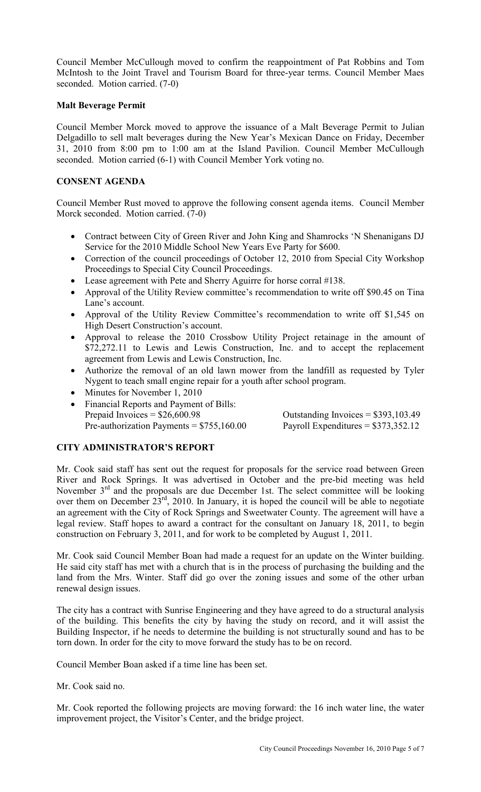Council Member McCullough moved to confirm the reappointment of Pat Robbins and Tom McIntosh to the Joint Travel and Tourism Board for three-year terms. Council Member Maes seconded. Motion carried. (7-0)

#### **Malt Beverage Permit**

Council Member Morck moved to approve the issuance of a Malt Beverage Permit to Julian Delgadillo to sell malt beverages during the New Year's Mexican Dance on Friday, December 31, 2010 from 8:00 pm to 1:00 am at the Island Pavilion. Council Member McCullough seconded. Motion carried (6-1) with Council Member York voting no.

## **CONSENT AGENDA**

Council Member Rust moved to approve the following consent agenda items. Council Member Morck seconded. Motion carried. (7-0)

- Contract between City of Green River and John King and Shamrocks 'N Shenanigans DJ Service for the 2010 Middle School New Years Eve Party for \$600.
- Correction of the council proceedings of October 12, 2010 from Special City Workshop Proceedings to Special City Council Proceedings.
- Lease agreement with Pete and Sherry Aguirre for horse corral #138.
- Approval of the Utility Review committee's recommendation to write off \$90.45 on Tina Lane's account.
- Approval of the Utility Review Committee's recommendation to write off \$1,545 on High Desert Construction's account.
- Approval to release the 2010 Crossbow Utility Project retainage in the amount of \$72,272.11 to Lewis and Lewis Construction, Inc. and to accept the replacement agreement from Lewis and Lewis Construction, Inc.
- Authorize the removal of an old lawn mower from the landfill as requested by Tyler Nygent to teach small engine repair for a youth after school program.
- Minutes for November 1, 2010
- Financial Reports and Payment of Bills: Prepaid Invoices =  $$26,600.98$  Outstanding Invoices =  $$393,103.49$ Pre-authorization Payments =  $$755,160.00$  Payroll Expenditures =  $$373,352.12$

## **CITY ADMINISTRATOR'S REPORT**

Mr. Cook said staff has sent out the request for proposals for the service road between Green River and Rock Springs. It was advertised in October and the pre-bid meeting was held November 3<sup>rd</sup> and the proposals are due December 1st. The select committee will be looking over them on December  $23^{\text{rd}}$ , 2010. In January, it is hoped the council will be able to negotiate an agreement with the City of Rock Springs and Sweetwater County. The agreement will have a legal review. Staff hopes to award a contract for the consultant on January 18, 2011, to begin construction on February 3, 2011, and for work to be completed by August 1, 2011.

Mr. Cook said Council Member Boan had made a request for an update on the Winter building. He said city staff has met with a church that is in the process of purchasing the building and the land from the Mrs. Winter. Staff did go over the zoning issues and some of the other urban renewal design issues.

The city has a contract with Sunrise Engineering and they have agreed to do a structural analysis of the building. This benefits the city by having the study on record, and it will assist the Building Inspector, if he needs to determine the building is not structurally sound and has to be torn down. In order for the city to move forward the study has to be on record.

Council Member Boan asked if a time line has been set.

## Mr. Cook said no.

Mr. Cook reported the following projects are moving forward: the 16 inch water line, the water improvement project, the Visitor's Center, and the bridge project.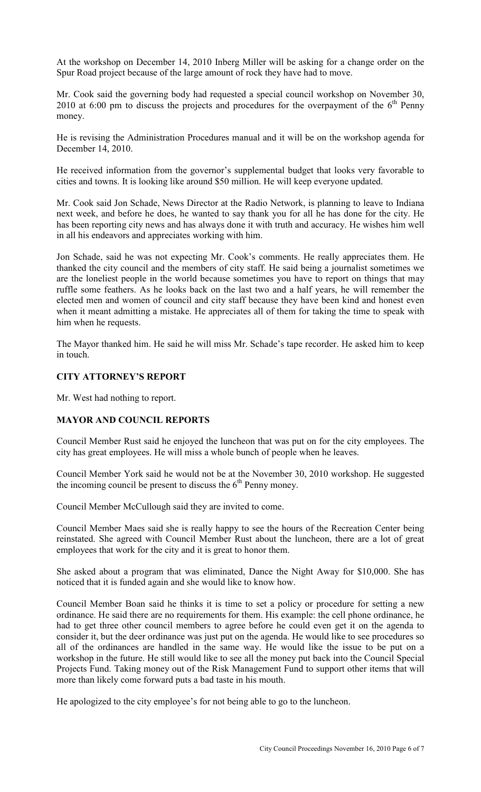At the workshop on December 14, 2010 Inberg Miller will be asking for a change order on the Spur Road project because of the large amount of rock they have had to move.

Mr. Cook said the governing body had requested a special council workshop on November 30, 2010 at 6:00 pm to discuss the projects and procedures for the overpayment of the  $6<sup>th</sup>$  Penny money.

He is revising the Administration Procedures manual and it will be on the workshop agenda for December 14, 2010.

He received information from the governor's supplemental budget that looks very favorable to cities and towns. It is looking like around \$50 million. He will keep everyone updated.

Mr. Cook said Jon Schade, News Director at the Radio Network, is planning to leave to Indiana next week, and before he does, he wanted to say thank you for all he has done for the city. He has been reporting city news and has always done it with truth and accuracy. He wishes him well in all his endeavors and appreciates working with him.

Jon Schade, said he was not expecting Mr. Cook's comments. He really appreciates them. He thanked the city council and the members of city staff. He said being a journalist sometimes we are the loneliest people in the world because sometimes you have to report on things that may ruffle some feathers. As he looks back on the last two and a half years, he will remember the elected men and women of council and city staff because they have been kind and honest even when it meant admitting a mistake. He appreciates all of them for taking the time to speak with him when he requests.

The Mayor thanked him. He said he will miss Mr. Schade's tape recorder. He asked him to keep in touch.

## **CITY ATTORNEY'S REPORT**

Mr. West had nothing to report.

## **MAYOR AND COUNCIL REPORTS**

Council Member Rust said he enjoyed the luncheon that was put on for the city employees. The city has great employees. He will miss a whole bunch of people when he leaves.

Council Member York said he would not be at the November 30, 2010 workshop. He suggested the incoming council be present to discuss the  $6<sup>th</sup>$  Penny money.

Council Member McCullough said they are invited to come.

Council Member Maes said she is really happy to see the hours of the Recreation Center being reinstated. She agreed with Council Member Rust about the luncheon, there are a lot of great employees that work for the city and it is great to honor them.

She asked about a program that was eliminated, Dance the Night Away for \$10,000. She has noticed that it is funded again and she would like to know how.

Council Member Boan said he thinks it is time to set a policy or procedure for setting a new ordinance. He said there are no requirements for them. His example: the cell phone ordinance, he had to get three other council members to agree before he could even get it on the agenda to consider it, but the deer ordinance was just put on the agenda. He would like to see procedures so all of the ordinances are handled in the same way. He would like the issue to be put on a workshop in the future. He still would like to see all the money put back into the Council Special Projects Fund. Taking money out of the Risk Management Fund to support other items that will more than likely come forward puts a bad taste in his mouth.

He apologized to the city employee's for not being able to go to the luncheon.